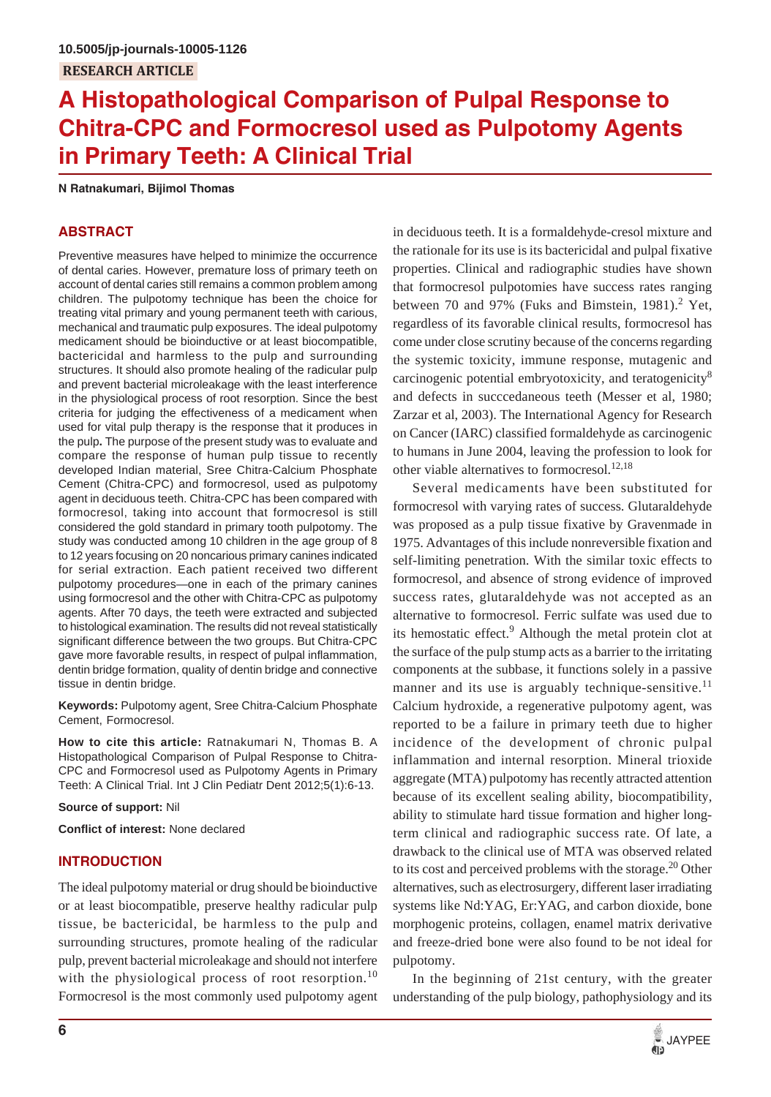# **A Histopathological Comparison of Pulpal Response to Chitra-CPC and Formocresol used as Pulpotomy Agents in Primary Teeth: A Clinical Trial**

**N Ratnakumari, Bijimol Thomas**

# **ABSTRACT**

Preventive measures have helped to minimize the occurrence of dental caries. However, premature loss of primary teeth on account of dental caries still remains a common problem among children. The pulpotomy technique has been the choice for treating vital primary and young permanent teeth with carious, mechanical and traumatic pulp exposures. The ideal pulpotomy medicament should be bioinductive or at least biocompatible, bactericidal and harmless to the pulp and surrounding structures. It should also promote healing of the radicular pulp and prevent bacterial microleakage with the least interference in the physiological process of root resorption. Since the best criteria for judging the effectiveness of a medicament when used for vital pulp therapy is the response that it produces in the pulp**.** The purpose of the present study was to evaluate and compare the response of human pulp tissue to recently developed Indian material, Sree Chitra-Calcium Phosphate Cement (Chitra-CPC) and formocresol, used as pulpotomy agent in deciduous teeth. Chitra-CPC has been compared with formocresol, taking into account that formocresol is still considered the gold standard in primary tooth pulpotomy. The study was conducted among 10 children in the age group of 8 to 12 years focusing on 20 noncarious primary canines indicated for serial extraction. Each patient received two different pulpotomy procedures—one in each of the primary canines using formocresol and the other with Chitra-CPC as pulpotomy agents. After 70 days, the teeth were extracted and subjected to histological examination. The results did not reveal statistically significant difference between the two groups. But Chitra-CPC gave more favorable results, in respect of pulpal inflammation, dentin bridge formation, quality of dentin bridge and connective tissue in dentin bridge.

**Keywords:** Pulpotomy agent, Sree Chitra-Calcium Phosphate Cement, Formocresol.

**How to cite this article:** Ratnakumari N, Thomas B. A Histopathological Comparison of Pulpal Response to Chitra-CPC and Formocresol used as Pulpotomy Agents in Primary Teeth: A Clinical Trial. Int J Clin Pediatr Dent 2012;5(1):6-13.

**Source of support:** Nil

**Conflict of interest:** None declared

## **INTRODUCTION**

The ideal pulpotomy material or drug should be bioinductive or at least biocompatible, preserve healthy radicular pulp tissue, be bactericidal, be harmless to the pulp and surrounding structures, promote healing of the radicular pulp, prevent bacterial microleakage and should not interfere with the physiological process of root resorption.<sup>10</sup> Formocresol is the most commonly used pulpotomy agent

in deciduous teeth. It is a formaldehyde-cresol mixture and the rationale for its use is its bactericidal and pulpal fixative properties. Clinical and radiographic studies have shown that formocresol pulpotomies have success rates ranging between 70 and 97% (Fuks and Bimstein, 1981).<sup>2</sup> Yet, regardless of its favorable clinical results, formocresol has come under close scrutiny because of the concerns regarding the systemic toxicity, immune response, mutagenic and carcinogenic potential embryotoxicity, and teratogenicity<sup>8</sup> and defects in succcedaneous teeth (Messer et al, 1980; Zarzar et al, 2003). The International Agency for Research on Cancer (IARC) classified formaldehyde as carcinogenic to humans in June 2004, leaving the profession to look for other viable alternatives to formocresol.<sup>12,18</sup>

Several medicaments have been substituted for formocresol with varying rates of success. Glutaraldehyde was proposed as a pulp tissue fixative by Gravenmade in 1975. Advantages of this include nonreversible fixation and self-limiting penetration. With the similar toxic effects to formocresol, and absence of strong evidence of improved success rates, glutaraldehyde was not accepted as an alternative to formocresol. Ferric sulfate was used due to its hemostatic effect.<sup>9</sup> Although the metal protein clot at the surface of the pulp stump acts as a barrier to the irritating components at the subbase, it functions solely in a passive manner and its use is arguably technique-sensitive.<sup>11</sup> Calcium hydroxide, a regenerative pulpotomy agent, was reported to be a failure in primary teeth due to higher incidence of the development of chronic pulpal inflammation and internal resorption. Mineral trioxide aggregate (MTA) pulpotomy has recently attracted attention because of its excellent sealing ability, biocompatibility, ability to stimulate hard tissue formation and higher longterm clinical and radiographic success rate. Of late, a drawback to the clinical use of MTA was observed related to its cost and perceived problems with the storage.<sup>20</sup> Other alternatives, such as electrosurgery, different laser irradiating systems like Nd:YAG, Er:YAG, and carbon dioxide, bone morphogenic proteins, collagen, enamel matrix derivative and freeze-dried bone were also found to be not ideal for pulpotomy.

In the beginning of 21st century, with the greater understanding of the pulp biology, pathophysiology and its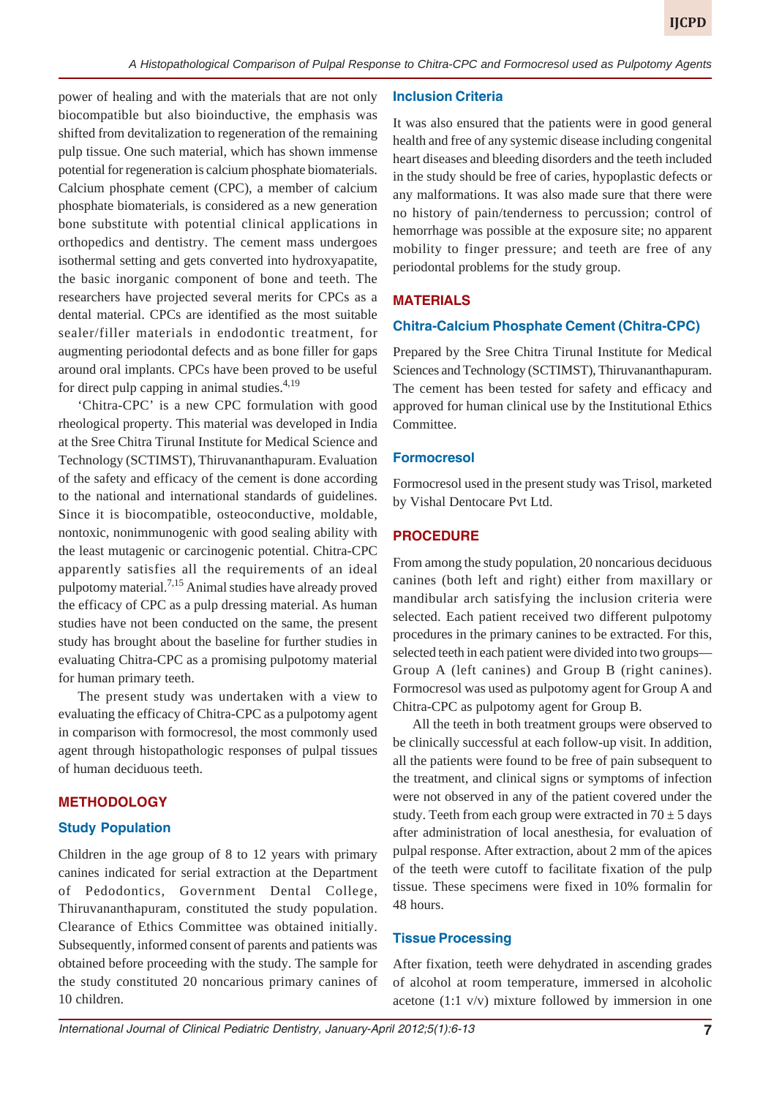power of healing and with the materials that are not only biocompatible but also bioinductive, the emphasis was shifted from devitalization to regeneration of the remaining pulp tissue. One such material, which has shown immense potential for regeneration is calcium phosphate biomaterials. Calcium phosphate cement (CPC), a member of calcium phosphate biomaterials, is considered as a new generation bone substitute with potential clinical applications in orthopedics and dentistry. The cement mass undergoes isothermal setting and gets converted into hydroxyapatite, the basic inorganic component of bone and teeth. The researchers have projected several merits for CPCs as a dental material. CPCs are identified as the most suitable sealer/filler materials in endodontic treatment, for augmenting periodontal defects and as bone filler for gaps around oral implants. CPCs have been proved to be useful for direct pulp capping in animal studies. $4,19$ 

'Chitra-CPC' is a new CPC formulation with good rheological property. This material was developed in India at the Sree Chitra Tirunal Institute for Medical Science and Technology (SCTIMST), Thiruvananthapuram. Evaluation of the safety and efficacy of the cement is done according to the national and international standards of guidelines. Since it is biocompatible, osteoconductive, moldable, nontoxic, nonimmunogenic with good sealing ability with the least mutagenic or carcinogenic potential. Chitra-CPC apparently satisfies all the requirements of an ideal pulpotomy material.7,15 Animal studies have already proved the efficacy of CPC as a pulp dressing material. As human studies have not been conducted on the same, the present study has brought about the baseline for further studies in evaluating Chitra-CPC as a promising pulpotomy material for human primary teeth.

The present study was undertaken with a view to evaluating the efficacy of Chitra-CPC as a pulpotomy agent in comparison with formocresol, the most commonly used agent through histopathologic responses of pulpal tissues of human deciduous teeth.

## **METHODOLOGY**

## **Study Population**

Children in the age group of 8 to 12 years with primary canines indicated for serial extraction at the Department of Pedodontics, Government Dental College, Thiruvananthapuram, constituted the study population. Clearance of Ethics Committee was obtained initially. Subsequently, informed consent of parents and patients was obtained before proceeding with the study. The sample for the study constituted 20 noncarious primary canines of 10 children.

#### **Inclusion Criteria**

It was also ensured that the patients were in good general health and free of any systemic disease including congenital heart diseases and bleeding disorders and the teeth included in the study should be free of caries, hypoplastic defects or any malformations. It was also made sure that there were no history of pain/tenderness to percussion; control of hemorrhage was possible at the exposure site; no apparent mobility to finger pressure; and teeth are free of any periodontal problems for the study group.

# **MATERIALS**

## **Chitra-Calcium Phosphate Cement (Chitra-CPC)**

Prepared by the Sree Chitra Tirunal Institute for Medical Sciences and Technology (SCTIMST), Thiruvananthapuram. The cement has been tested for safety and efficacy and approved for human clinical use by the Institutional Ethics Committee.

#### **Formocresol**

Formocresol used in the present study was Trisol, marketed by Vishal Dentocare Pvt Ltd.

#### **PROCEDURE**

From among the study population, 20 noncarious deciduous canines (both left and right) either from maxillary or mandibular arch satisfying the inclusion criteria were selected. Each patient received two different pulpotomy procedures in the primary canines to be extracted. For this, selected teeth in each patient were divided into two groups— Group A (left canines) and Group B (right canines). Formocresol was used as pulpotomy agent for Group A and Chitra-CPC as pulpotomy agent for Group B.

All the teeth in both treatment groups were observed to be clinically successful at each follow-up visit. In addition, all the patients were found to be free of pain subsequent to the treatment, and clinical signs or symptoms of infection were not observed in any of the patient covered under the study. Teeth from each group were extracted in  $70 \pm 5$  days after administration of local anesthesia, for evaluation of pulpal response. After extraction, about 2 mm of the apices of the teeth were cutoff to facilitate fixation of the pulp tissue. These specimens were fixed in 10% formalin for 48 hours.

#### **Tissue Processing**

After fixation, teeth were dehydrated in ascending grades of alcohol at room temperature, immersed in alcoholic acetone (1:1 v/v) mixture followed by immersion in one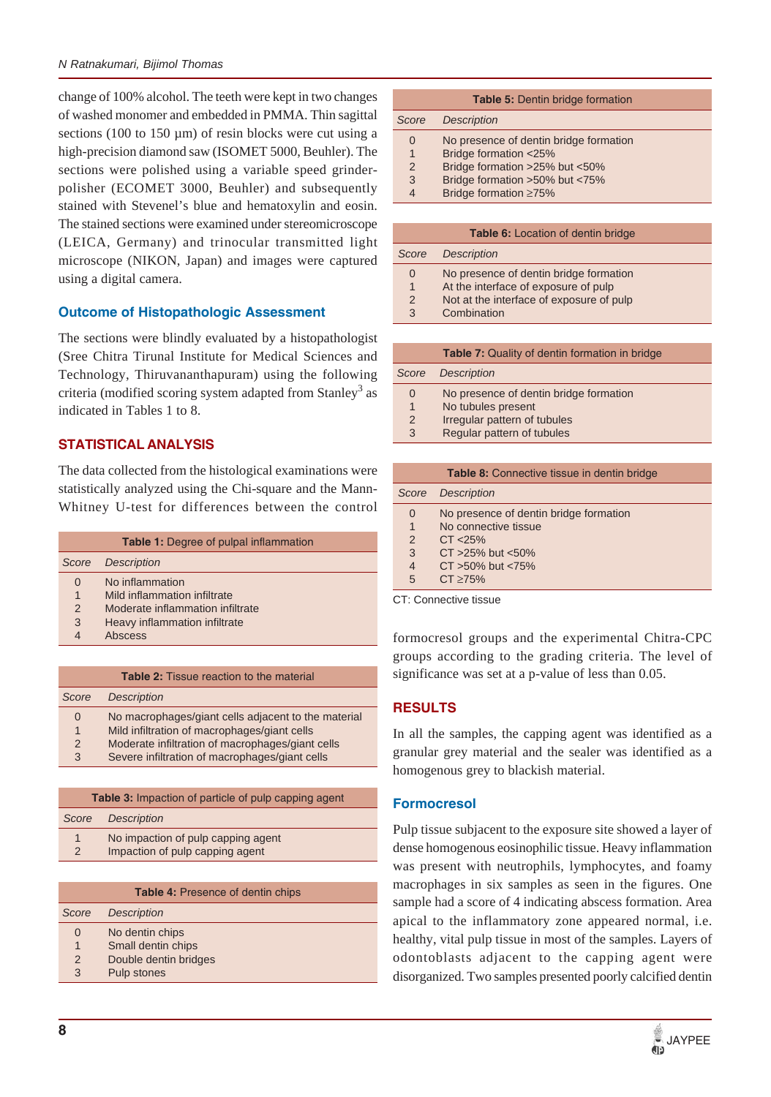change of 100% alcohol. The teeth were kept in two changes of washed monomer and embedded in PMMA. Thin sagittal sections (100 to 150  $\mu$ m) of resin blocks were cut using a high-precision diamond saw (ISOMET 5000, Beuhler). The sections were polished using a variable speed grinderpolisher (ECOMET 3000, Beuhler) and subsequently stained with Stevenel's blue and hematoxylin and eosin. The stained sections were examined under stereomicroscope (LEICA, Germany) and trinocular transmitted light microscope (NIKON, Japan) and images were captured using a digital camera.

# **Outcome of Histopathologic Assessment**

The sections were blindly evaluated by a histopathologist (Sree Chitra Tirunal Institute for Medical Sciences and Technology, Thiruvananthapuram) using the following criteria (modified scoring system adapted from Stanley<sup>3</sup> as indicated in Tables 1 to 8.

# **STATISTICAL ANALYSIS**

The data collected from the histological examinations were statistically analyzed using the Chi-square and the Mann-Whitney U-test for differences between the control

|                                   | <b>Table 1:</b> Degree of pulpal inflammation                                                                                   |
|-----------------------------------|---------------------------------------------------------------------------------------------------------------------------------|
| Score                             | <b>Description</b>                                                                                                              |
| 0<br>1<br>$\mathcal{P}$<br>3<br>4 | No inflammation<br>Mild inflammation infiltrate<br>Moderate inflammation infiltrate<br>Heavy inflammation infiltrate<br>Abscess |

| <b>Description</b><br>Score<br>No macrophages/giant cells adjacent to the material<br>0<br>Mild infiltration of macrophages/giant cells<br>$\overline{1}$<br>Moderate infiltration of macrophages/giant cells<br>$\mathcal{P}$<br>Severe infiltration of macrophages/giant cells<br>3 | <b>Table 2:</b> Tissue reaction to the material |
|---------------------------------------------------------------------------------------------------------------------------------------------------------------------------------------------------------------------------------------------------------------------------------------|-------------------------------------------------|
|                                                                                                                                                                                                                                                                                       |                                                 |
|                                                                                                                                                                                                                                                                                       |                                                 |
|                                                                                                                                                                                                                                                                                       |                                                 |
|                                                                                                                                                                                                                                                                                       |                                                 |
|                                                                                                                                                                                                                                                                                       |                                                 |

| <b>Table 3:</b> Impaction of particle of pulp capping agent |                                    |  |  |  |  |  |  |
|-------------------------------------------------------------|------------------------------------|--|--|--|--|--|--|
| Score                                                       | <b>Description</b>                 |  |  |  |  |  |  |
| 1<br>$\mathcal{P}$                                          | No impaction of pulp capping agent |  |  |  |  |  |  |
|                                                             | Impaction of pulp capping agent    |  |  |  |  |  |  |

|       | <b>Table 4: Presence of dentin chips</b> |
|-------|------------------------------------------|
| Score | <b>Description</b>                       |
| 0     | No dentin chips                          |
| 1     | Small dentin chips                       |
| 2     | Double dentin bridges                    |
| 3     | Pulp stones                              |
|       |                                          |

| <b>Table 5: Dentin bridge formation</b> |  |  |  |  |  |  |  |  |
|-----------------------------------------|--|--|--|--|--|--|--|--|
| <b>Description</b>                      |  |  |  |  |  |  |  |  |
| No presence of dentin bridge formation  |  |  |  |  |  |  |  |  |
| Bridge formation <25%                   |  |  |  |  |  |  |  |  |
| Bridge formation >25% but <50%          |  |  |  |  |  |  |  |  |
| Bridge formation >50% but <75%          |  |  |  |  |  |  |  |  |
| Bridge formation $\geq 75\%$            |  |  |  |  |  |  |  |  |
|                                         |  |  |  |  |  |  |  |  |

|                | <b>Table 6:</b> Location of dentin bridge |
|----------------|-------------------------------------------|
| Score          | <b>Description</b>                        |
| 0              | No presence of dentin bridge formation    |
| $\overline{1}$ | At the interface of exposure of pulp      |
| $\mathcal{P}$  | Not at the interface of exposure of pulp  |
| 3              | Combination                               |

|               | <b>Table 7:</b> Quality of dentin formation in bridge |
|---------------|-------------------------------------------------------|
| Score         | <b>Description</b>                                    |
| 0             | No presence of dentin bridge formation                |
| 1             | No tubules present                                    |
| $\mathcal{P}$ | Irregular pattern of tubules                          |
| 3             | Regular pattern of tubules                            |
|               |                                                       |

|                | <b>Table 8:</b> Connective tissue in dentin bridge |
|----------------|----------------------------------------------------|
|                | Score Description                                  |
| 0              | No presence of dentin bridge formation             |
| 1              | No connective tissue                               |
| $\overline{2}$ | CT < 25%                                           |
| 3              | $CT > 25\%$ but <50%                               |
| $\overline{4}$ | $CT > 50\%$ but $< 75\%$                           |
| 5              | CT > 75%                                           |

CT: Connective tissue

formocresol groups and the experimental Chitra-CPC groups according to the grading criteria. The level of significance was set at a p-value of less than 0.05.

# **RESULTS**

In all the samples, the capping agent was identified as a granular grey material and the sealer was identified as a homogenous grey to blackish material.

# **Formocresol**

Pulp tissue subjacent to the exposure site showed a layer of dense homogenous eosinophilic tissue. Heavy inflammation was present with neutrophils, lymphocytes, and foamy macrophages in six samples as seen in the figures. One sample had a score of 4 indicating abscess formation. Area apical to the inflammatory zone appeared normal, i.e. healthy, vital pulp tissue in most of the samples. Layers of odontoblasts adjacent to the capping agent were disorganized. Two samples presented poorly calcified dentin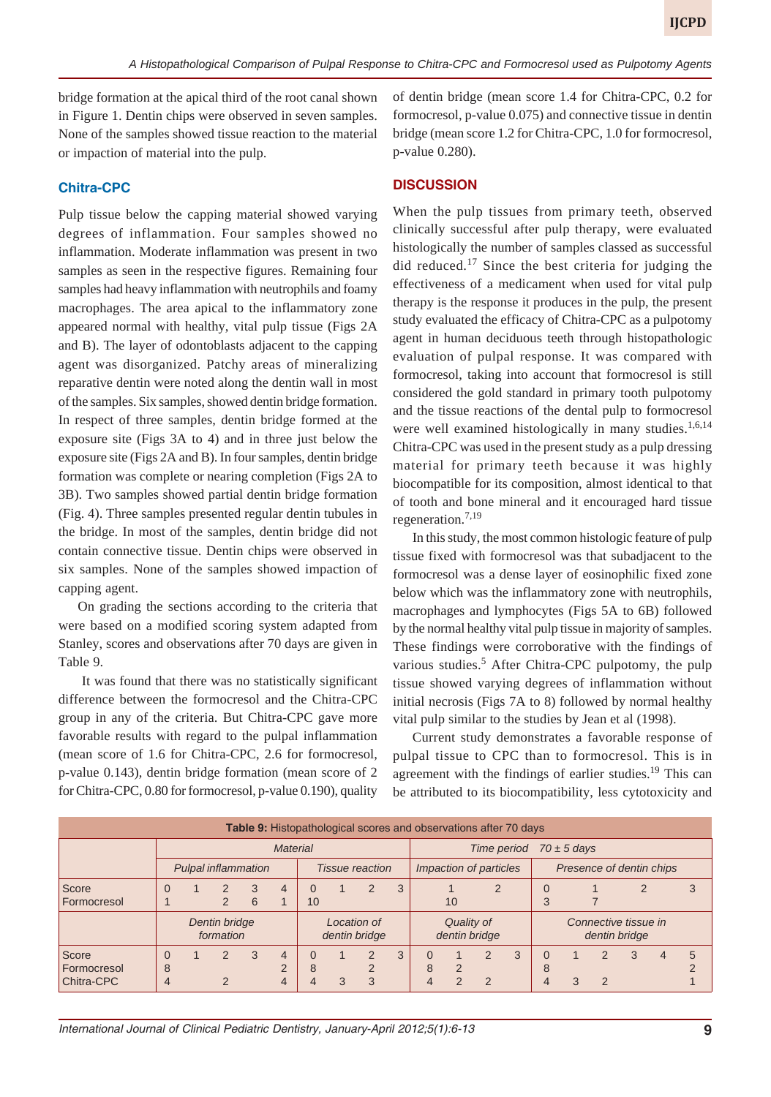bridge formation at the apical third of the root canal shown in Figure 1. Dentin chips were observed in seven samples. None of the samples showed tissue reaction to the material or impaction of material into the pulp.

# **Chitra-CPC**

Pulp tissue below the capping material showed varying degrees of inflammation. Four samples showed no inflammation. Moderate inflammation was present in two samples as seen in the respective figures. Remaining four samples had heavy inflammation with neutrophils and foamy macrophages. The area apical to the inflammatory zone appeared normal with healthy, vital pulp tissue (Figs 2A and B). The layer of odontoblasts adjacent to the capping agent was disorganized. Patchy areas of mineralizing reparative dentin were noted along the dentin wall in most of the samples. Six samples, showed dentin bridge formation. In respect of three samples, dentin bridge formed at the exposure site (Figs 3A to 4) and in three just below the exposure site (Figs 2A and B). In four samples, dentin bridge formation was complete or nearing completion (Figs 2A to 3B). Two samples showed partial dentin bridge formation (Fig. 4). Three samples presented regular dentin tubules in the bridge. In most of the samples, dentin bridge did not contain connective tissue. Dentin chips were observed in six samples. None of the samples showed impaction of capping agent.

On grading the sections according to the criteria that were based on a modified scoring system adapted from Stanley, scores and observations after 70 days are given in Table 9.

 It was found that there was no statistically significant difference between the formocresol and the Chitra-CPC group in any of the criteria. But Chitra-CPC gave more favorable results with regard to the pulpal inflammation (mean score of 1.6 for Chitra-CPC, 2.6 for formocresol, p-value 0.143), dentin bridge formation (mean score of 2 for Chitra-CPC, 0.80 for formocresol, p-value 0.190), quality of dentin bridge (mean score 1.4 for Chitra-CPC, 0.2 for formocresol, p-value 0.075) and connective tissue in dentin bridge (mean score 1.2 for Chitra-CPC, 1.0 for formocresol, p-value 0.280).

## **DISCUSSION**

When the pulp tissues from primary teeth, observed clinically successful after pulp therapy, were evaluated histologically the number of samples classed as successful did reduced.<sup>17</sup> Since the best criteria for judging the effectiveness of a medicament when used for vital pulp therapy is the response it produces in the pulp, the present study evaluated the efficacy of Chitra-CPC as a pulpotomy agent in human deciduous teeth through histopathologic evaluation of pulpal response. It was compared with formocresol, taking into account that formocresol is still considered the gold standard in primary tooth pulpotomy and the tissue reactions of the dental pulp to formocresol were well examined histologically in many studies. $1,6,14$ Chitra-CPC was used in the present study as a pulp dressing material for primary teeth because it was highly biocompatible for its composition, almost identical to that of tooth and bone mineral and it encouraged hard tissue regeneration.<sup>7,19</sup>

In this study, the most common histologic feature of pulp tissue fixed with formocresol was that subadjacent to the formocresol was a dense layer of eosinophilic fixed zone below which was the inflammatory zone with neutrophils, macrophages and lymphocytes (Figs 5A to 6B) followed by the normal healthy vital pulp tissue in majority of samples. These findings were corroborative with the findings of various studies.<sup>5</sup> After Chitra-CPC pulpotomy, the pulp tissue showed varying degrees of inflammation without initial necrosis (Figs 7A to 8) followed by normal healthy vital pulp similar to the studies by Jean et al (1998).

Current study demonstrates a favorable response of pulpal tissue to CPC than to formocresol. This is in agreement with the findings of earlier studies.<sup>19</sup> This can be attributed to its biocompatibility, less cytotoxicity and

| <b>Table 9:</b> Histopathological scores and observations after 70 days |                    |                            |                                |        |                                 |                              |               |                                      |   |                                 |                    |                    |                                       |                          |  |                    |   |  |                      |
|-------------------------------------------------------------------------|--------------------|----------------------------|--------------------------------|--------|---------------------------------|------------------------------|---------------|--------------------------------------|---|---------------------------------|--------------------|--------------------|---------------------------------------|--------------------------|--|--------------------|---|--|----------------------|
|                                                                         |                    |                            |                                |        | <b>Material</b>                 |                              |               |                                      |   | $70 \pm 5$ days<br>Time period  |                    |                    |                                       |                          |  |                    |   |  |                      |
|                                                                         |                    | <b>Pulpal inflammation</b> |                                |        |                                 | <b>Tissue reaction</b>       |               |                                      |   | Impaction of particles          |                    |                    |                                       | Presence of dentin chips |  |                    |   |  |                      |
| Score<br>Formocresol                                                    | $\Omega$           |                            | $\mathcal{P}$<br>$\mathcal{P}$ | 3<br>6 | 4                               | 10                           |               | $\mathcal{P}$                        | 3 |                                 | 10                 | 2                  |                                       |                          |  |                    |   |  | 3                    |
|                                                                         |                    |                            | Dentin bridge<br>formation     |        |                                 | Location of<br>dentin bridge |               |                                      |   | Quality of<br>dentin bridge     |                    |                    | Connective tissue in<br>dentin bridge |                          |  |                    |   |  |                      |
| Score<br>Formocresol<br>Chitra-CPC                                      | $\Omega$<br>8<br>4 |                            | $\mathcal{P}$<br>⌒             | 3      | $\overline{4}$<br>$\Omega$<br>4 | 8                            | $\mathcal{R}$ | $\mathcal{P}$<br>$\overline{2}$<br>3 | 3 | $\Omega$<br>8<br>$\overline{4}$ | $\mathcal{P}$<br>◠ | $\mathcal{P}$<br>2 | 3                                     | 8                        |  | 2<br>$\mathcal{D}$ | 3 |  | $5\overline{5}$<br>◠ |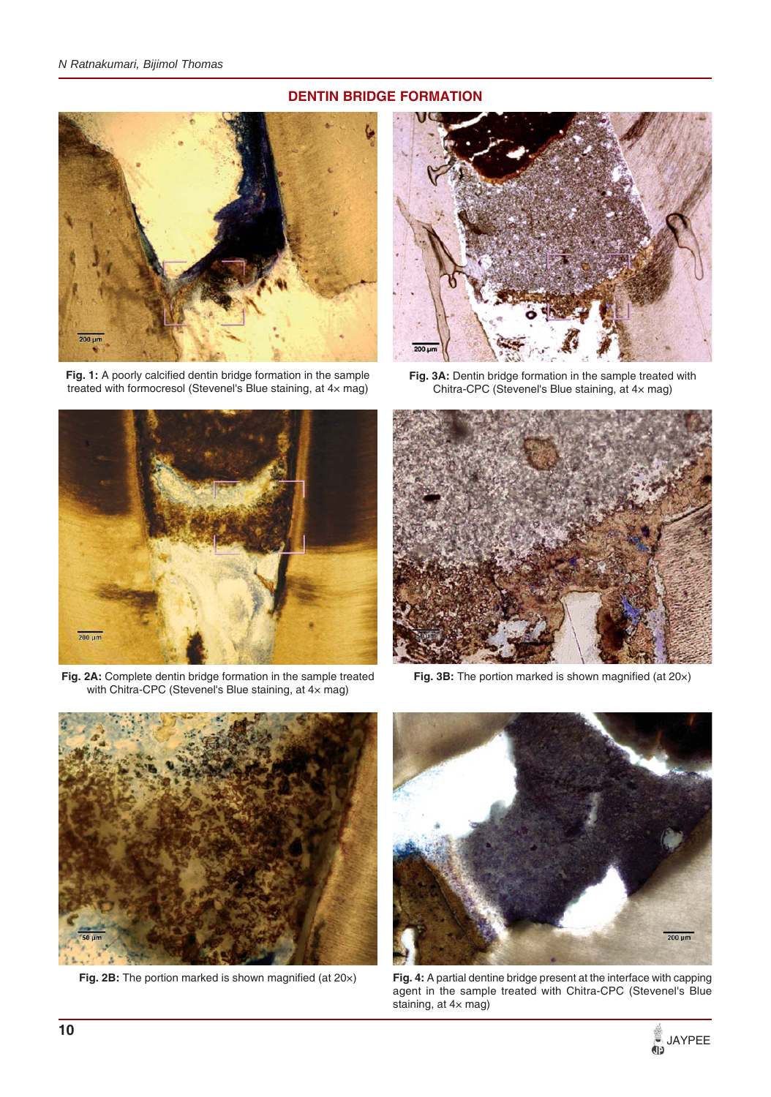# **DENTIN BRIDGE FORMATION**



**Fig. 1:** A poorly calcified dentin bridge formation in the sample treated with formocresol (Stevenel's Blue staining, at 4× mag)



**Fig. 2A:** Complete dentin bridge formation in the sample treated with Chitra-CPC (Stevenel's Blue staining, at 4× mag)



**Fig. 3A:** Dentin bridge formation in the sample treated with Chitra-CPC (Stevenel's Blue staining, at 4× mag)



**Fig. 3B:** The portion marked is shown magnified (at 20×)



**Fig. 2B:** The portion marked is shown magnified (at 20×)



**Fig. 4:** A partial dentine bridge present at the interface with capping agent in the sample treated with Chitra-CPC (Stevenel's Blue staining, at 4× mag)

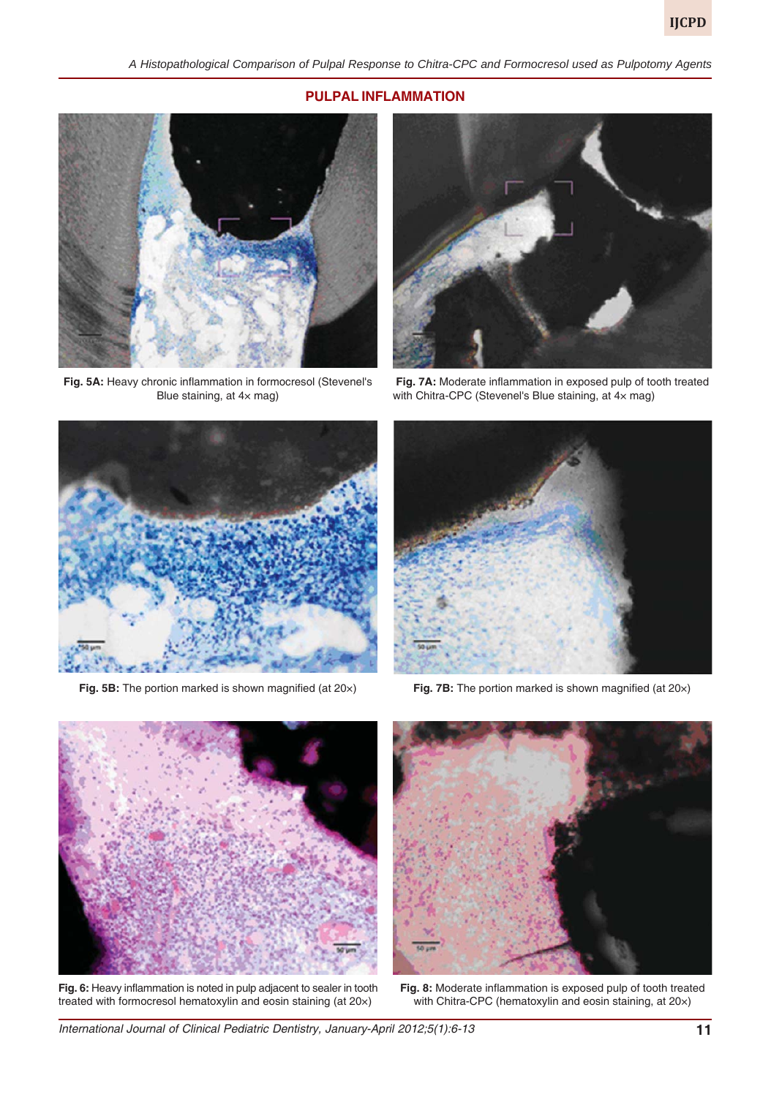## **PULPAL INFLAMMATION**



**Fig. 5A:** Heavy chronic inflammation in formocresol (Stevenel's Blue staining, at 4× mag)



**Fig. 7A:** Moderate inflammation in exposed pulp of tooth treated with Chitra-CPC (Stevenel's Blue staining, at 4× mag)





**Fig. 5B:** The portion marked is shown magnified (at 20×) **Fig. 7B:** The portion marked is shown magnified (at 20×)



**Fig. 6:** Heavy inflammation is noted in pulp adjacent to sealer in tooth treated with formocresol hematoxylin and eosin staining (at 20×)



**Fig. 8:** Moderate inflammation is exposed pulp of tooth treated with Chitra-CPC (hematoxylin and eosin staining, at 20×)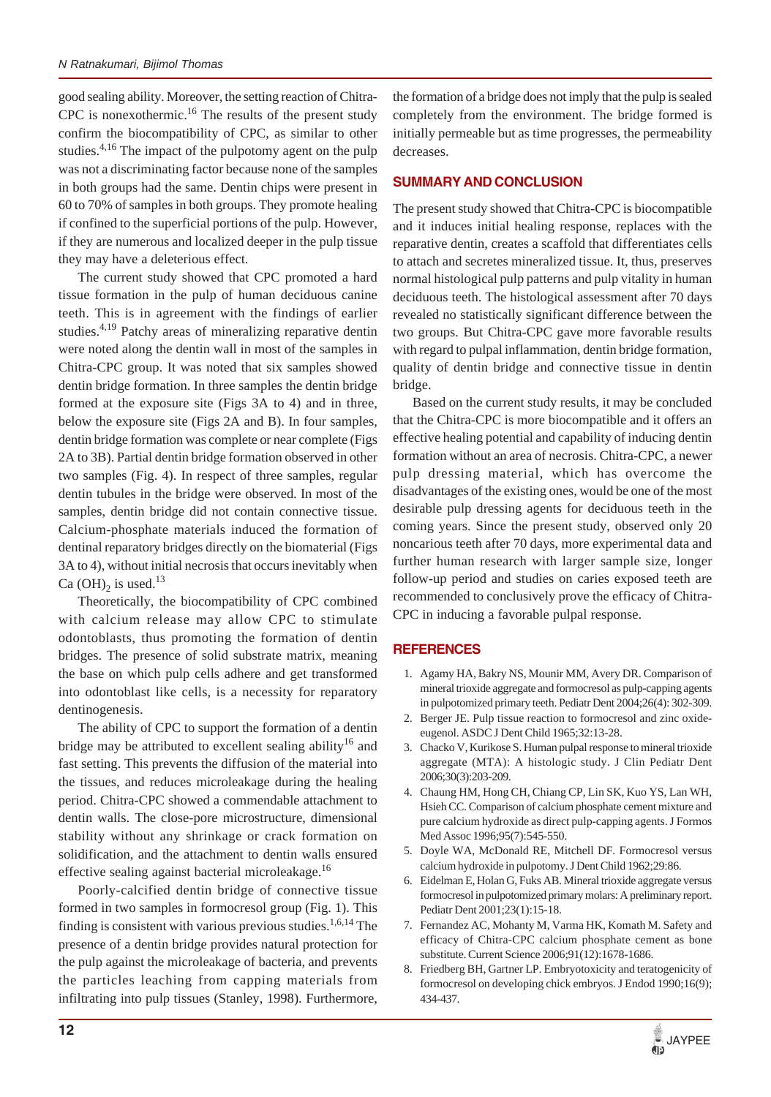good sealing ability. Moreover, the setting reaction of Chitra-CPC is nonexothermic.<sup>16</sup> The results of the present study confirm the biocompatibility of CPC, as similar to other studies.<sup>4,16</sup> The impact of the pulpotomy agent on the pulp was not a discriminating factor because none of the samples in both groups had the same. Dentin chips were present in 60 to 70% of samples in both groups. They promote healing if confined to the superficial portions of the pulp. However, if they are numerous and localized deeper in the pulp tissue they may have a deleterious effect.

The current study showed that CPC promoted a hard tissue formation in the pulp of human deciduous canine teeth. This is in agreement with the findings of earlier studies.<sup>4,19</sup> Patchy areas of mineralizing reparative dentin were noted along the dentin wall in most of the samples in Chitra-CPC group. It was noted that six samples showed dentin bridge formation. In three samples the dentin bridge formed at the exposure site (Figs 3A to 4) and in three, below the exposure site (Figs 2A and B). In four samples, dentin bridge formation was complete or near complete (Figs 2A to 3B). Partial dentin bridge formation observed in other two samples (Fig. 4). In respect of three samples, regular dentin tubules in the bridge were observed. In most of the samples, dentin bridge did not contain connective tissue. Calcium-phosphate materials induced the formation of dentinal reparatory bridges directly on the biomaterial (Figs 3A to 4), without initial necrosis that occurs inevitably when Ca (OH)<sub>2</sub> is used.<sup>13</sup>

Theoretically, the biocompatibility of CPC combined with calcium release may allow CPC to stimulate odontoblasts, thus promoting the formation of dentin bridges. The presence of solid substrate matrix, meaning the base on which pulp cells adhere and get transformed into odontoblast like cells, is a necessity for reparatory dentinogenesis.

The ability of CPC to support the formation of a dentin bridge may be attributed to excellent sealing ability<sup>16</sup> and fast setting. This prevents the diffusion of the material into the tissues, and reduces microleakage during the healing period. Chitra-CPC showed a commendable attachment to dentin walls. The close-pore microstructure, dimensional stability without any shrinkage or crack formation on solidification, and the attachment to dentin walls ensured effective sealing against bacterial microleakage.<sup>16</sup>

Poorly-calcified dentin bridge of connective tissue formed in two samples in formocresol group (Fig. 1). This finding is consistent with various previous studies.<sup>1,6,14</sup> The presence of a dentin bridge provides natural protection for the pulp against the microleakage of bacteria, and prevents the particles leaching from capping materials from infiltrating into pulp tissues (Stanley, 1998). Furthermore,

the formation of a bridge does not imply that the pulp is sealed completely from the environment. The bridge formed is initially permeable but as time progresses, the permeability decreases.

# **SUMMARY AND CONCLUSION**

The present study showed that Chitra-CPC is biocompatible and it induces initial healing response, replaces with the reparative dentin, creates a scaffold that differentiates cells to attach and secretes mineralized tissue. It, thus, preserves normal histological pulp patterns and pulp vitality in human deciduous teeth. The histological assessment after 70 days revealed no statistically significant difference between the two groups. But Chitra-CPC gave more favorable results with regard to pulpal inflammation, dentin bridge formation, quality of dentin bridge and connective tissue in dentin bridge.

Based on the current study results, it may be concluded that the Chitra-CPC is more biocompatible and it offers an effective healing potential and capability of inducing dentin formation without an area of necrosis. Chitra-CPC, a newer pulp dressing material, which has overcome the disadvantages of the existing ones, would be one of the most desirable pulp dressing agents for deciduous teeth in the coming years. Since the present study, observed only 20 noncarious teeth after 70 days, more experimental data and further human research with larger sample size, longer follow-up period and studies on caries exposed teeth are recommended to conclusively prove the efficacy of Chitra-CPC in inducing a favorable pulpal response.

# **REFERENCES**

- 1. Agamy HA, Bakry NS, Mounir MM, Avery DR. Comparison of mineral trioxide aggregate and formocresol as pulp-capping agents in pulpotomized primary teeth. Pediatr Dent 2004;26(4): 302-309.
- 2. Berger JE. Pulp tissue reaction to formocresol and zinc oxideeugenol. ASDC J Dent Child 1965;32:13-28.
- 3. Chacko V, Kurikose S. Human pulpal response to mineral trioxide aggregate (MTA): A histologic study. J Clin Pediatr Dent 2006;30(3):203-209.
- 4. Chaung HM, Hong CH, Chiang CP, Lin SK, Kuo YS, Lan WH, Hsieh CC. Comparison of calcium phosphate cement mixture and pure calcium hydroxide as direct pulp-capping agents. J Formos Med Assoc 1996;95(7):545-550.
- 5. Doyle WA, McDonald RE, Mitchell DF. Formocresol versus calcium hydroxide in pulpotomy. J Dent Child 1962;29:86.
- 6. Eidelman E, Holan G, Fuks AB. Mineral trioxide aggregate versus formocresol in pulpotomized primary molars: A preliminary report. Pediatr Dent 2001;23(1):15-18.
- 7. Fernandez AC, Mohanty M, Varma HK, Komath M. Safety and efficacy of Chitra-CPC calcium phosphate cement as bone substitute. Current Science 2006;91(12):1678-1686.
- 8. Friedberg BH, Gartner LP. Embryotoxicity and teratogenicity of formocresol on developing chick embryos. J Endod 1990;16(9); 434-437.